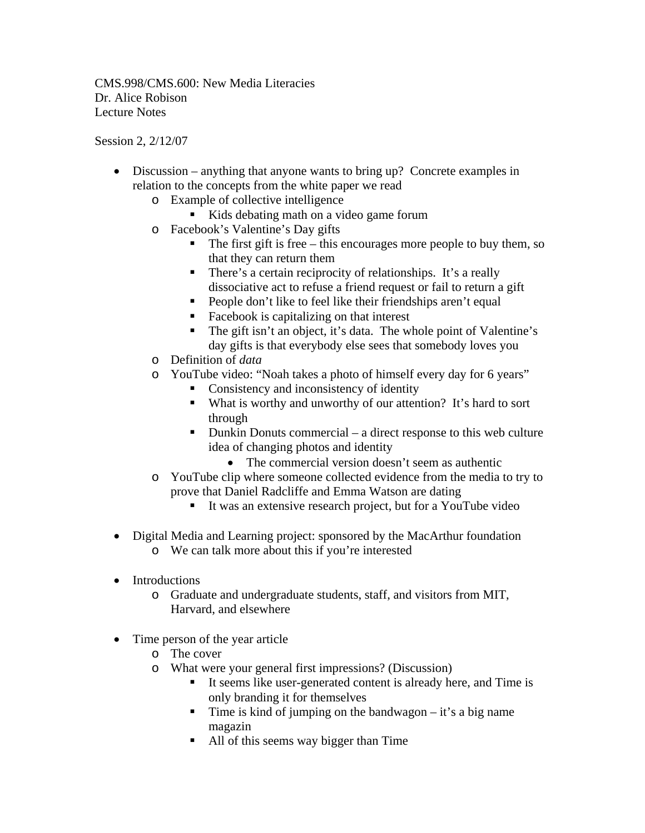CMS.998/CMS.600: New Media Literacies Dr. Alice Robison Lecture Notes

Session 2, 2/12/07

- Discussion anything that anyone wants to bring up? Concrete examples in relation to the concepts from the white paper we read
	- o Example of collective intelligence
		- Kids debating math on a video game forum
	- o Facebook's Valentine's Day gifts
		- $\blacksquare$  The first gift is free this encourages more people to buy them, so that they can return them
		- There's a certain reciprocity of relationships. It's a really dissociative act to refuse a friend request or fail to return a gift
		- **People don't like to feel like their friendships aren't equal**
		- Facebook is capitalizing on that interest
		- The gift isn't an object, it's data. The whole point of Valentine's day gifts is that everybody else sees that somebody loves you
	- o Definition of *data*
	- o YouTube video: "Noah takes a photo of himself every day for 6 years"
		- Consistency and inconsistency of identity
		- What is worthy and unworthy of our attention? It's hard to sort through
		- $\blacksquare$  Dunkin Donuts commercial a direct response to this web culture idea of changing photos and identity
			- The commercial version doesn't seem as authentic
	- o YouTube clip where someone collected evidence from the media to try to prove that Daniel Radcliffe and Emma Watson are dating
		- It was an extensive research project, but for a YouTube video
- Digital Media and Learning project: sponsored by the MacArthur foundation o We can talk more about this if you're interested
- Introductions
	- o Graduate and undergraduate students, staff, and visitors from MIT, Harvard, and elsewhere
- Time person of the year article
	- o The cover
	- o What were your general first impressions? (Discussion)
		- It seems like user-generated content is already here, and Time is only branding it for themselves
		- **Time** is kind of jumping on the bandwagon it's a big name magazin
		- All of this seems way bigger than Time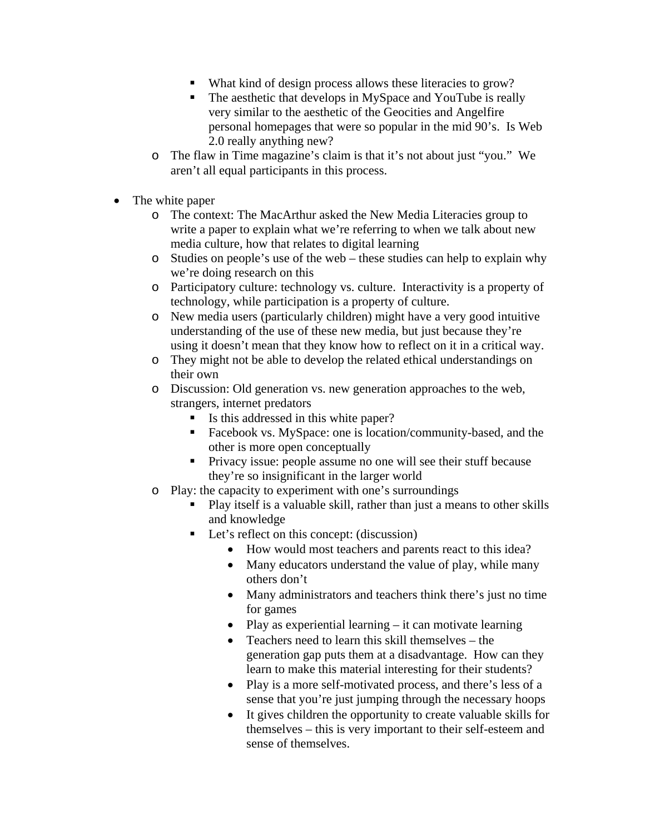- What kind of design process allows these literacies to grow?
- The aesthetic that develops in MySpace and YouTube is really very similar to the aesthetic of the Geocities and Angelfire personal homepages that were so popular in the mid 90's. Is Web 2.0 really anything new?
- o The flaw in Time magazine's claim is that it's not about just "you." We aren't all equal participants in this process.
- The white paper
	- o The context: The MacArthur asked the New Media Literacies group to write a paper to explain what we're referring to when we talk about new media culture, how that relates to digital learning
	- o Studies on people's use of the web these studies can help to explain why we're doing research on this
	- o Participatory culture: technology vs. culture. Interactivity is a property of technology, while participation is a property of culture.
	- o New media users (particularly children) might have a very good intuitive understanding of the use of these new media, but just because they're using it doesn't mean that they know how to reflect on it in a critical way.
	- o They might not be able to develop the related ethical understandings on their own
	- o Discussion: Old generation vs. new generation approaches to the web, strangers, internet predators
		- Is this addressed in this white paper?
		- **Facebook vs. MySpace: one is location/community-based, and the** other is more open conceptually
		- Privacy issue: people assume no one will see their stuff because they're so insignificant in the larger world
	- o Play: the capacity to experiment with one's surroundings
		- Play itself is a valuable skill, rather than just a means to other skills and knowledge
		- Let's reflect on this concept: (discussion)
			- How would most teachers and parents react to this idea?
			- Many educators understand the value of play, while many others don't
			- Many administrators and teachers think there's just no time for games
			- Play as experiential learning  $-$  it can motivate learning
			- Teachers need to learn this skill themselves the generation gap puts them at a disadvantage. How can they learn to make this material interesting for their students?
			- Play is a more self-motivated process, and there's less of a sense that you're just jumping through the necessary hoops
			- It gives children the opportunity to create valuable skills for themselves – this is very important to their self-esteem and sense of themselves.